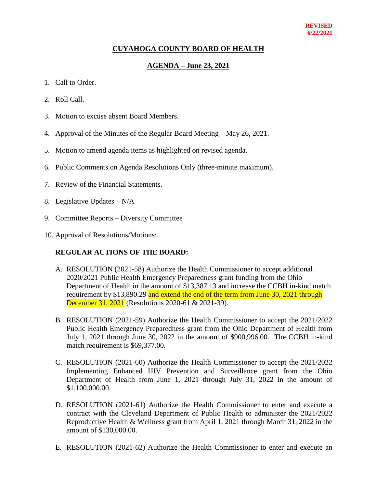#### **REVISED 6/22/2021**

### **CUYAHOGA COUNTY BOARD OF HEALTH**

### **AGENDA – June 23, 2021**

- 1. Call to Order.
- 2. Roll Call.
- 3. Motion to excuse absent Board Members.
- 4. Approval of the Minutes of the Regular Board Meeting May 26, 2021.
- 5. Motion to amend agenda items as highlighted on revised agenda.
- 6. Public Comments on Agenda Resolutions Only (three-minute maximum).
- 7. Review of the Financial Statements.
- 8. Legislative Updates N/A
- 9. Committee Reports Diversity Committee
- 10. Approval of Resolutions/Motions:

#### **REGULAR ACTIONS OF THE BOARD:**

- A. RESOLUTION (2021-58) Authorize the Health Commissioner to accept additional 2020/2021 Public Health Emergency Preparedness grant funding from the Ohio Department of Health in the amount of \$13,387.13 and increase the CCBH in-kind match requirement by \$13,890.29 and extend the end of the term from June 30, 2021 through **December 31, 2021** (Resolutions 2020-61 & 2021-39).
- B. RESOLUTION (2021-59) Authorize the Health Commissioner to accept the 2021/2022 Public Health Emergency Preparedness grant from the Ohio Department of Health from July 1, 2021 through June 30, 2022 in the amount of \$900,996.00. The CCBH in-kind match requirement is \$69,377.00.
- C. RESOLUTION (2021-60) Authorize the Health Commissioner to accept the 2021/2022 Implementing Enhanced HIV Prevention and Surveillance grant from the Ohio Department of Health from June 1, 2021 through July 31, 2022 in the amount of \$1,100.000.00.
- D. RESOLUTION (2021-61) Authorize the Health Commissioner to enter and execute a contract with the Cleveland Department of Public Health to administer the 2021/2022 Reproductive Health & Wellness grant from April 1, 2021 through March 31, 2022 in the amount of \$130,000.00.
- E. RESOLUTION (2021-62) Authorize the Health Commissioner to enter and execute an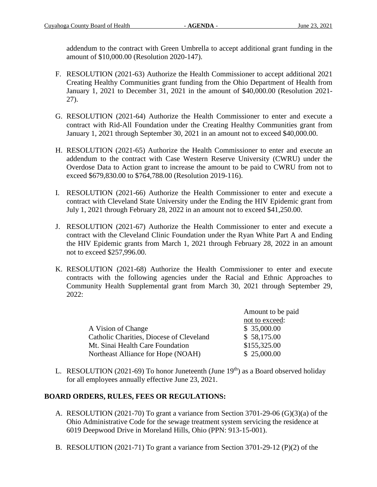addendum to the contract with Green Umbrella to accept additional grant funding in the amount of \$10,000.00 (Resolution 2020-147).

- F. RESOLUTION (2021-63) Authorize the Health Commissioner to accept additional 2021 Creating Healthy Communities grant funding from the Ohio Department of Health from January 1, 2021 to December 31, 2021 in the amount of \$40,000.00 (Resolution 2021- 27).
- G. RESOLUTION (2021-64) Authorize the Health Commissioner to enter and execute a contract with Rid-All Foundation under the Creating Healthy Communities grant from January 1, 2021 through September 30, 2021 in an amount not to exceed \$40,000.00.
- H. RESOLUTION (2021-65) Authorize the Health Commissioner to enter and execute an addendum to the contract with Case Western Reserve University (CWRU) under the Overdose Data to Action grant to increase the amount to be paid to CWRU from not to exceed \$679,830.00 to \$764,788.00 (Resolution 2019-116).
- I. RESOLUTION (2021-66) Authorize the Health Commissioner to enter and execute a contract with Cleveland State University under the Ending the HIV Epidemic grant from July 1, 2021 through February 28, 2022 in an amount not to exceed \$41,250.00.
- J. RESOLUTION (2021-67) Authorize the Health Commissioner to enter and execute a contract with the Cleveland Clinic Foundation under the Ryan White Part A and Ending the HIV Epidemic grants from March 1, 2021 through February 28, 2022 in an amount not to exceed \$257,996.00.
- K. RESOLUTION (2021-68) Authorize the Health Commissioner to enter and execute contracts with the following agencies under the Racial and Ethnic Approaches to Community Health Supplemental grant from March 30, 2021 through September 29, 2022:

|                                          | Amount to be paid |  |
|------------------------------------------|-------------------|--|
|                                          | not to exceed:    |  |
| A Vision of Change                       | \$35,000.00       |  |
| Catholic Charities, Diocese of Cleveland | \$58,175.00       |  |
| Mt. Sinai Health Care Foundation         | \$155,325.00      |  |
| Northeast Alliance for Hope (NOAH)       | \$25,000.00       |  |

L. RESOLUTION (2021-69) To honor Juneteenth (June  $19<sup>th</sup>$ ) as a Board observed holiday for all employees annually effective June 23, 2021.

## **BOARD ORDERS, RULES, FEES OR REGULATIONS:**

- A. RESOLUTION (2021-70) To grant a variance from Section 3701-29-06 (G)(3)(a) of the Ohio Administrative Code for the sewage treatment system servicing the residence at 6019 Deepwood Drive in Moreland Hills, Ohio (PPN: 913-15-001).
- B. RESOLUTION (2021-71) To grant a variance from Section 3701-29-12 (P)(2) of the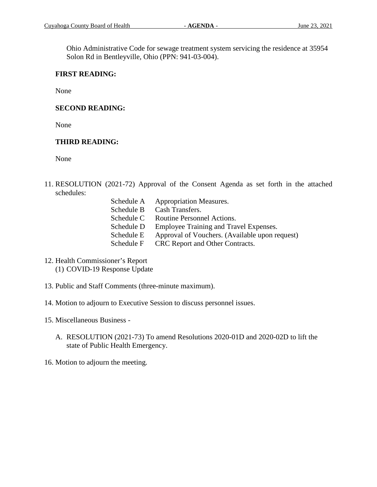Ohio Administrative Code for sewage treatment system servicing the residence at 35954 Solon Rd in Bentleyville, Ohio (PPN: 941-03-004).

### **FIRST READING:**

None

## **SECOND READING:**

None

## **THIRD READING:**

None

- 11. RESOLUTION (2021-72) Approval of the Consent Agenda as set forth in the attached schedules:
	- Schedule A Appropriation Measures. Schedule B Cash Transfers. Schedule C Routine Personnel Actions. Schedule D Employee Training and Travel Expenses. Schedule E Approval of Vouchers. (Available upon request) Schedule F CRC Report and Other Contracts.
- 12. Health Commissioner's Report (1) COVID-19 Response Update
- 13. Public and Staff Comments (three-minute maximum).
- 14. Motion to adjourn to Executive Session to discuss personnel issues.
- 15. Miscellaneous Business
	- A. RESOLUTION (2021-73) To amend Resolutions 2020-01D and 2020-02D to lift the state of Public Health Emergency.
- 16. Motion to adjourn the meeting.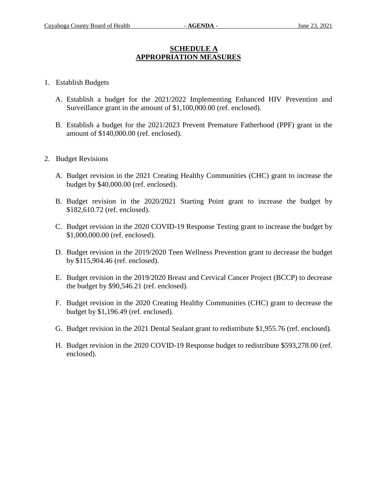### **SCHEDULE A APPROPRIATION MEASURES**

### 1. Establish Budgets

- A. Establish a budget for the 2021/2022 Implementing Enhanced HIV Prevention and Surveillance grant in the amount of \$1,100,000.00 (ref. enclosed).
- B. Establish a budget for the 2021/2023 Prevent Premature Fatherhood (PPF) grant in the amount of \$140,000.00 (ref. enclosed).
- 2. Budget Revisions
	- A. Budget revision in the 2021 Creating Healthy Communities (CHC) grant to increase the budget by \$40,000.00 (ref. enclosed).
	- B. Budget revision in the 2020/2021 Starting Point grant to increase the budget by \$182,610.72 (ref. enclosed).
	- C. Budget revision in the 2020 COVID-19 Response Testing grant to increase the budget by \$1,000,000.00 (ref. enclosed).
	- D. Budget revision in the 2019/2020 Teen Wellness Prevention grant to decrease the budget by \$115,904.46 (ref. enclosed).
	- E. Budget revision in the 2019/2020 Breast and Cervical Cancer Project (BCCP) to decrease the budget by \$90,546.21 (ref. enclosed).
	- F. Budget revision in the 2020 Creating Healthy Communities (CHC) grant to decrease the budget by \$1,196.49 (ref. enclosed).
	- G. Budget revision in the 2021 Dental Sealant grant to redistribute \$1,955.76 (ref. enclosed).
	- H. Budget revision in the 2020 COVID-19 Response budget to redistribute \$593,278.00 (ref. enclosed).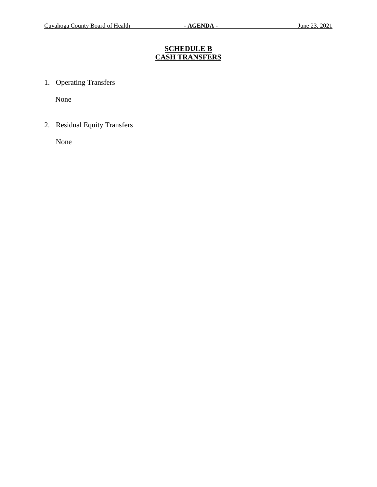# **SCHEDULE B CASH TRANSFERS**

1. Operating Transfers

None

2. Residual Equity Transfers

None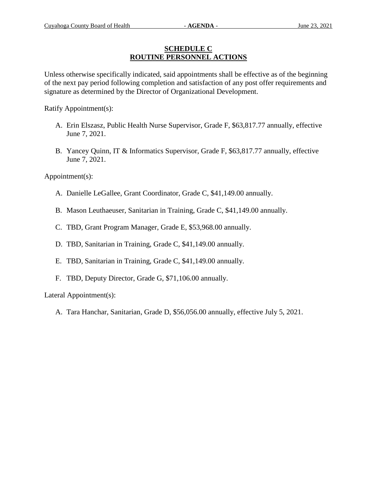### **SCHEDULE C ROUTINE PERSONNEL ACTIONS**

Unless otherwise specifically indicated, said appointments shall be effective as of the beginning of the next pay period following completion and satisfaction of any post offer requirements and signature as determined by the Director of Organizational Development.

Ratify Appointment(s):

- A. Erin Elszasz, Public Health Nurse Supervisor, Grade F, \$63,817.77 annually, effective June 7, 2021.
- B. Yancey Quinn, IT & Informatics Supervisor, Grade F, \$63,817.77 annually, effective June 7, 2021.

Appointment(s):

- A. Danielle LeGallee, Grant Coordinator, Grade C, \$41,149.00 annually.
- B. Mason Leuthaeuser, Sanitarian in Training, Grade C, \$41,149.00 annually.
- C. TBD, Grant Program Manager, Grade E, \$53,968.00 annually.
- D. TBD, Sanitarian in Training, Grade C, \$41,149.00 annually.
- E. TBD, Sanitarian in Training, Grade C, \$41,149.00 annually.
- F. TBD, Deputy Director, Grade G, \$71,106.00 annually.

Lateral Appointment(s):

A. Tara Hanchar, Sanitarian, Grade D, \$56,056.00 annually, effective July 5, 2021.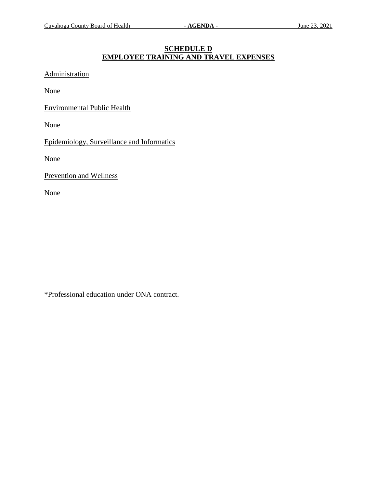### **SCHEDULE D EMPLOYEE TRAINING AND TRAVEL EXPENSES**

Administration

None

Environmental Public Health

None

Epidemiology, Surveillance and Informatics

None

Prevention and Wellness

None

\*Professional education under ONA contract.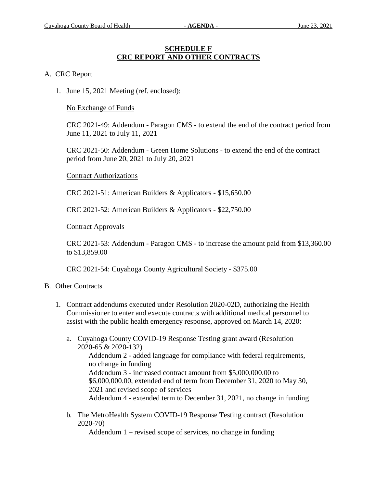#### **SCHEDULE F CRC REPORT AND OTHER CONTRACTS**

#### A. CRC Report

1. June 15, 2021 Meeting (ref. enclosed):

No Exchange of Funds

CRC 2021-49: Addendum - Paragon CMS - to extend the end of the contract period from June 11, 2021 to July 11, 2021

CRC 2021-50: Addendum - Green Home Solutions - to extend the end of the contract period from June 20, 2021 to July 20, 2021

#### Contract Authorizations

CRC 2021-51: American Builders & Applicators - \$15,650.00

CRC 2021-52: American Builders & Applicators - \$22,750.00

#### Contract Approvals

CRC 2021-53: Addendum - Paragon CMS - to increase the amount paid from \$13,360.00 to \$13,859.00

CRC 2021-54: Cuyahoga County Agricultural Society - \$375.00

#### B. Other Contracts

- 1. Contract addendums executed under Resolution 2020-02D, authorizing the Health Commissioner to enter and execute contracts with additional medical personnel to assist with the public health emergency response, approved on March 14, 2020:
	- a. Cuyahoga County COVID-19 Response Testing grant award (Resolution 2020-65 & 2020-132) Addendum 2 - added language for compliance with federal requirements, no change in funding Addendum 3 - increased contract amount from \$5,000,000.00 to \$6,000,000.00, extended end of term from December 31, 2020 to May 30, 2021 and revised scope of services Addendum 4 - extended term to December 31, 2021, no change in funding
	- b. The MetroHealth System COVID-19 Response Testing contract (Resolution 2020-70)

Addendum 1 – revised scope of services, no change in funding